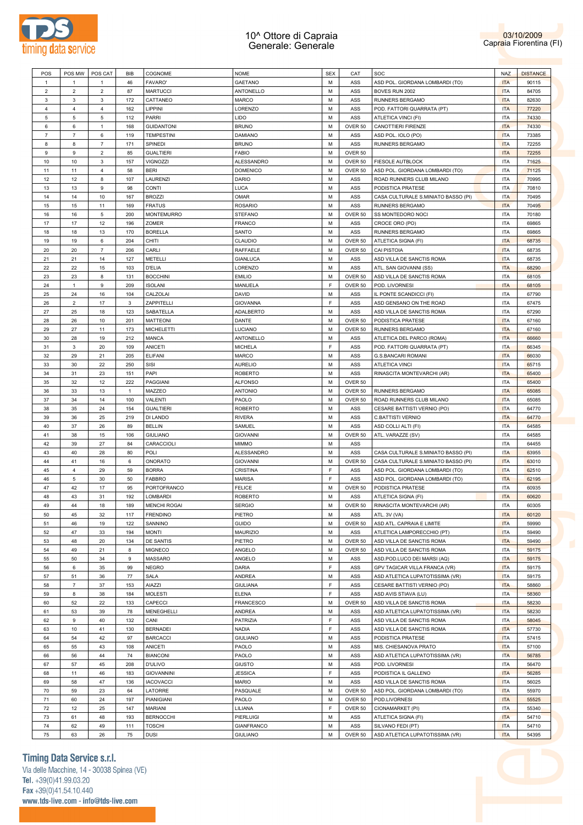



| POS            | POS MW         | POS CAT        | BIB            | COGNOME             | <b>NOME</b>       | <b>SEX</b>  | CAT     | SOC                                 | <b>NAZ</b> | <b>DISTANCE</b> |
|----------------|----------------|----------------|----------------|---------------------|-------------------|-------------|---------|-------------------------------------|------------|-----------------|
| $\mathbf{1}$   | 1              | $\mathbf{1}$   | 46             | <b>FAVARO'</b>      | GAETANO           | М           | ASS     | ASD POL. GIORDANA LOMBARDI (TO)     | <b>ITA</b> | 90115           |
| $\overline{2}$ | $\overline{2}$ | 2              | 87             | <b>MARTUCCI</b>     | ANTONELLO         | M           | ASS     | BOVES RUN 2002                      | <b>ITA</b> | 84705           |
|                |                |                |                |                     |                   |             |         |                                     |            |                 |
| 3              | 3              | 3              | 172            | CATTANEO            | <b>MARCO</b>      | М           | ASS     | RUNNERS BERGAMO                     | <b>ITA</b> | 82630           |
| $\overline{4}$ | 4              | $\overline{4}$ | 162            | LIPPINI             | LORENZO           | M           | ASS     | POD. FATTORI QUARRATA (PT)          | <b>ITA</b> | 77220           |
| 5              | 5              | 5              | 112            | <b>PARRI</b>        | <b>LIDO</b>       | M           | ASS     | ATLETICA VINCI (FI)                 | <b>ITA</b> | 74330           |
| 6              | 6              | $\mathbf{1}$   | 168            | <b>GUIDANTONI</b>   | <b>BRUNO</b>      | M           | OVER 50 | CANOTTIERI FIRENZE                  | <b>ITA</b> | 74330           |
| $\overline{7}$ | $\overline{7}$ | 6              | 119            | <b>TEMPESTINI</b>   | <b>DAMIANO</b>    | M           | ASS     | ASD POL. IOLO (PO)                  | <b>ITA</b> | 73385           |
| 8              | 8              | $\overline{7}$ | 171            | SPINEDI             | <b>BRUNO</b>      | M           | ASS     | RUNNERS BERGAMO                     | <b>ITA</b> | 72255           |
| $\mathsf g$    | 9              | $\overline{2}$ | 85             | <b>GUALTIERI</b>    | <b>FABIO</b>      | M           | OVER 50 |                                     | <b>ITA</b> | 72255           |
| 10             | 10             | 3              | 157            | <b>VIGNOZZI</b>     | ALESSANDRO        | M           | OVER 50 | <b>FIESOLE AUTBLOCK</b>             | ITA        | 71625           |
|                |                | $\overline{4}$ |                | <b>BERI</b>         |                   | M           | OVER 50 | ASD POL. GIORDANA LOMBARDI (TO)     | <b>ITA</b> |                 |
| 11             | 11             |                | 58             |                     | <b>DOMENICO</b>   |             |         |                                     |            | 71125           |
| 12             | 12             | 8              | 107            | LAURENZI            | DARIO             | M           | ASS     | ROAD RUNNERS CLUB MILANO            | ITA        | 70995           |
| 13             | 13             | 9              | 98             | <b>CONTI</b>        | <b>LUCA</b>       | M           | ASS     | PODISTICA PRATESE                   | <b>ITA</b> | 70810           |
| 14             | 14             | 10             | 167            | <b>BROZZI</b>       | <b>OMAR</b>       | M           | ASS     | CASA CULTURALE S.MINIATO BASSO (PI) | <b>ITA</b> | 70495           |
| 15             | 15             | 11             | 169            | <b>FRATUS</b>       | <b>ROSARIO</b>    | M           | ASS     | RUNNERS BERGAMO                     | <b>ITA</b> | 70495           |
| 16             | 16             | 5              | 200            | <b>MONTEMURRO</b>   | <b>STEFANO</b>    | M           | OVER 50 | SS MONTEDORO NOCI                   | ITA        | 70180           |
| 17             | 17             | 12             | 196            | ZOMER               | FRANCO            | M           | ASS     | CROCE ORO (PO)                      | ITA        | 69865           |
| 18             | 18             | 13             | 170            | <b>BORELLA</b>      | SANTO             | M           | ASS     | RUNNERS BERGAMO                     | ITA        | 69865           |
|                |                |                |                |                     |                   |             |         |                                     |            |                 |
| 19             | 19             | 6              | 204            | CHITI               | CLAUDIO           | M           | OVER 50 | ATLETICA SIGNA (FI)                 | <b>ITA</b> | 68735           |
| 20             | 20             | $\overline{7}$ | 206            | CARLI               | RAFFAELE          | М           | OVER 50 | <b>CAI PISTOIA</b>                  | <b>ITA</b> | 68735           |
| 21             | 21             | 14             | 127            | METELLI             | GIANLUCA          | M           | ASS     | ASD VILLA DE SANCTIS ROMA           | <b>ITA</b> | 68735           |
| 22             | 22             | 15             | 103            | D'ELIA              | LORENZO           | M           | ASS     | ATL. SAN GIOVANNI (SS)              | <b>ITA</b> | 68290           |
| 23             | 23             | 8              | 131            | <b>BOCCHINI</b>     | <b>EMILIO</b>     | M           | OVER 50 | ASD VILLA DE SANCTIS ROMA           | ITA        | 68105           |
| 24             | 1              | 9              | 209            | <b>ISOLANI</b>      | MANUELA           | F           | OVER 50 | POD. LIVORNESI                      | <b>ITA</b> | 68105           |
| 25             | 24             |                |                | CALZOLAI            | <b>DAVID</b>      |             |         |                                     | <b>ITA</b> |                 |
|                |                | 16             | 104            |                     |                   | М           | ASS     | IL PONTE SCANDICCI (FI)             |            | 67790           |
| 26             | $\overline{2}$ | 17             | 3              | ZAPPITELLI          | <b>GIOVANNA</b>   | F           | ASS     | ASD GENSANO ON THE ROAD             | ITA        | 67475           |
| 27             | 25             | 18             | 123            | SABATELLA           | ADALBERTO         | М           | ASS     | ASD VILLA DE SANCTIS ROMA           | <b>ITA</b> | 67290           |
| 28             | 26             | 10             | 201            | <b>MATTEONI</b>     | DANTE             | M           | OVER 50 | PODISTICA PRATESE                   | <b>ITA</b> | 67160           |
| 29             | 27             | 11             | 173            | <b>MICHELETTI</b>   | LUCIANO           | M           | OVER 50 | <b>RUNNERS BERGAMO</b>              | <b>ITA</b> | 67160           |
| 30             | 28             | 19             | 212            | MANCA               | ANTONELLO         | M           | ASS     | ATLETICA DEL PARCO (ROMA)           | <b>ITA</b> | 66660           |
| 31             | 3              | 20             | 109            | ANICETI             | <b>MICHELA</b>    | F           | ASS     | POD. FATTORI QUARRATA (PT)          | <b>ITA</b> | 66345           |
|                |                |                |                |                     |                   |             |         |                                     |            |                 |
| 32             | 29             | 21             | 205            | <b>ELIFANI</b>      | MARCO             | M           | ASS     | <b>G.S.BANCARI ROMANI</b>           | <b>ITA</b> | 66030           |
| 33             | 30             | 22             | 250            | SISI                | <b>AURELIO</b>    | M           | ASS     | <b>ATLETICA VINCI</b>               | <b>ITA</b> | 65715           |
| 34             | 31             | 23             | 151            | PAPI                | <b>ROBERTO</b>    | M           | ASS     | RINASCITA MONTEVARCHI (AR)          | <b>ITA</b> | 65400           |
| 35             | 32             | 12             | 222            | PAGGIANI            | <b>ALFONSO</b>    | M           | OVER 50 |                                     | ITA        | 65400           |
| 36             | 33             | 13             | $\overline{1}$ | MAZZEO              | <b>ANTONIO</b>    | M           | OVER 50 | <b>RUNNERS BERGAMO</b>              | <b>ITA</b> | 65085           |
| 37             | 34             | 14             | 100            | VALENTI             | PAOLO             | M           | OVER 50 | ROAD RUNNERS CLUB MILANO            | <b>ITA</b> | 65085           |
| 38             | 35             | 24             |                |                     |                   | M           |         |                                     |            |                 |
|                |                |                | 154            | <b>GUALTIERI</b>    | <b>ROBERTO</b>    |             | ASS     | CESARE BATTISTI VERNIO (PO)         | <b>ITA</b> | 64770           |
| 39             | 36             | 25             | 219            | <b>DI LANDO</b>     | <b>RIVERA</b>     | M           | ASS     | <b>C.BATTISTI VERNIO</b>            | <b>ITA</b> | 64770           |
| 40             | 37             | 26             | 89             | <b>BELLIN</b>       | SAMUEL            | M           | ASS     | ASD COLLI ALTI (FI)                 | ITA        | 64585           |
| 41             | 38             | 15             | 106            | <b>GIULIANO</b>     | <b>GIOVANNI</b>   | M           | OVER 50 | ATL. VARAZZE (SV)                   | <b>ITA</b> | 64585           |
| 42             | 39             | 27             | 84             | CARACCIOLI          | <b>MIMMO</b>      | M           | ASS     |                                     | <b>ITA</b> | 64455           |
| 43             | 40             | 28             | 80             | POLI                | ALESSANDRO        | М           | ASS     | CASA CULTURALE S.MINIATO BASSO (PI) | <b>ITA</b> | 63955           |
| 44             | 41             | 16             | 6              | ONORATO             | <b>GIOVANNI</b>   | М           | OVER 50 | CASA CULTURALE S.MINIATO BASSO (PI) | <b>ITA</b> | 63010           |
|                | 4              | 29             | 59             |                     | <b>CRISTINA</b>   | $\mathsf F$ | ASS     |                                     | <b>ITA</b> | 62510           |
| 45             |                |                |                | <b>BORRA</b>        |                   |             |         | ASD POL. GIORDANA LOMBARDI (TO)     |            |                 |
| 46             | 5              | 30             | 50             | <b>FABBRO</b>       | <b>MARISA</b>     | F           | ASS     | ASD POL. GIORDANA LOMBARDI (TO)     | <b>ITA</b> | 62195           |
| 47             | 42             | 17             | 95             | PORTOFRANCO         | <b>FELICE</b>     | М           | OVER 50 | PODISTICA PRATESE                   | ITA        | 60935           |
| 48             | 43             | 31             | 192            | <b>LOMBARDI</b>     | <b>ROBERTO</b>    | M           | ASS     | ATLETICA SIGNA (FI)                 | <b>ITA</b> | 60620           |
| 49             | 44             | 18             | 189            | <b>MENCHI ROGAI</b> | <b>SERGIO</b>     | M           | OVER 50 | RINASCITA MONTEVARCHI (AR)          | <b>ITA</b> | 60305           |
| 50             | 45             | 32             | 117            | <b>FRENDINO</b>     | PIETRO            | M           | ASS     | ATL. 3V (VA)                        | <b>ITA</b> | 60120           |
| 51             | 46             | 19             | 122            | SANNINO             | GUIDO             | M           | OVER 50 | ASD ATL. CAPRAIA E LIMITE           | <b>ITA</b> | 59990           |
|                |                |                |                |                     | <b>MAURIZIO</b>   |             |         |                                     |            |                 |
| 52             | 47             | 33             | 194            | <b>MONTI</b>        |                   | M           | ASS     | ATLETICA LAMPORECCHIO (PT)          | <b>ITA</b> | 59490           |
| 53             | 48             | 20             | 134            | DE SANTIS           | PIETRO            | M           | OVER 50 | ASD VILLA DE SANCTIS ROMA           | <b>ITA</b> | 59490           |
| 54             | 49             | 21             | 8              | <b>MIGNECO</b>      | ANGELO            | M           | OVER 50 | ASD VILLA DE SANCTIS ROMA           | <b>ITA</b> | 59175           |
| 55             | 50             | 34             | 9              | MASSARO             | ANGELO            | M           | ASS     | ASD.POD.LUCO DEI MARSI (AQ)         | <b>ITA</b> | 59175           |
| 56             | 6              | 35             | 99             | <b>NEGRO</b>        | <b>DARIA</b>      | $\mathsf F$ | ASS     | GPV TAGICAR VILLA FRANCA (VR)       | <b>ITA</b> | 59175           |
| 57             | 51             | 36             | 77             | SALA                | ANDREA            | M           | ASS     | ASD ATLETICA LUPATOTISSIMA (VR)     | <b>ITA</b> | 59175           |
| 58             | $\overline{7}$ | 37             | 153            | AIAZZI              | <b>GIULIANA</b>   | $\mathsf F$ | ASS     | CESARE BATTISTI VERNIO (PO)         | <b>ITA</b> | 58860           |
| 59             | 8              | 38             |                | <b>MOLESTI</b>      | <b>ELENA</b>      | $\mathsf F$ | ASS     |                                     | <b>ITA</b> | 58360           |
|                |                |                | 184            |                     |                   |             |         | ASD AVIS STIAVA (LU)                |            |                 |
| 60             | 52             | 22             | 133            | CAPECCI             | <b>FRANCESCO</b>  | M           | OVER 50 | ASD VILLA DE SANCTIS ROMA           | <b>ITA</b> | 58230           |
| 61             | 53             | 39             | 78             | MENEGHELLI          | ANDREA            | M           | ASS     | ASD ATLETICA LUPATOTISSIMA (VR)     | <b>ITA</b> | 58230           |
| 62             | 9              | 40             | 132            | CANI                | PATRIZIA          | $\mathsf F$ | ASS     | ASD VILLA DE SANCTIS ROMA           | <b>ITA</b> | 58045           |
| 63             | $10$           | 41             | 130            | <b>BERNADEI</b>     | <b>NADIA</b>      | F           | ASS     | ASD VILLA DE SANCTIS ROMA           | <b>ITA</b> | 57730           |
| 64             | 54             | 42             | 97             | <b>BARCACCI</b>     | <b>GIULIANO</b>   | M           | ASS     | PODISTICA PRATESE                   | <b>ITA</b> | 57415           |
| 65             | 55             | 43             | 108            | ANICETI             | PAOLO             | M           | ASS     | MIS. CHIESANOVA PRATO               | <b>ITA</b> | 57100           |
|                |                |                |                |                     |                   |             |         |                                     |            |                 |
| 66             | 56             | 44             | 74             | <b>BIANCONI</b>     | PAOLO             | M           | ASS     | ASD ATLETICA LUPATOTISSIMA (VR)     | <b>ITA</b> | 56785           |
| 67             | 57             | 45             | 208            | <b>D'ULIVO</b>      | GIUSTO            | M           | ASS     | POD. LIVORNESI                      | <b>ITA</b> | 56470           |
| 68             | 11             | 46             | 183            | <b>GIOVANNINI</b>   | <b>JESSICA</b>    | $\mathsf F$ | ASS     | PODISTICA IL GALLENO                | <b>ITA</b> | 56285           |
|                | 58             | 47             | 136            | <b>IACOVACCI</b>    | <b>MARIO</b>      | M           | ASS     | ASD VILLA DE SANCTIS ROMA           | <b>ITA</b> | 56025           |
| 69             |                |                | 64             | LATORRE             | PASQUALE          | M           | OVER 50 | ASD POL. GIORDANA LOMBARDI (TO)     | <b>ITA</b> | 55970           |
|                |                |                |                |                     |                   |             |         |                                     |            |                 |
| 70             | 59             | 23             |                |                     |                   |             |         |                                     |            |                 |
| 71             | 60             | 24             | 197            | PIANIGIANI          | PAOLO             | M           | OVER 50 | POD.LIVORNESI                       | <b>ITA</b> | 55525           |
| 72             | 12             | 25             | 147            | <b>MARIANI</b>      | LILIANA           | $\mathsf F$ | OVER 50 | CIONAMARKET (PI)                    | <b>ITA</b> | 55340           |
| 73             | 61             | 48             | 193            | <b>BERNOCCHI</b>    | PIERLUIGI         | M           | ASS     | ATLETICA SIGNA (FI)                 | <b>ITA</b> | 54710           |
| 74             | 62             | 49             | 111            | <b>TOSCHI</b>       | <b>GIANFRANCO</b> | M           | ASS     | SILVANO FEDI (PT)                   | <b>ITA</b> | 54710           |

## **Timing Data Service s.r.l.**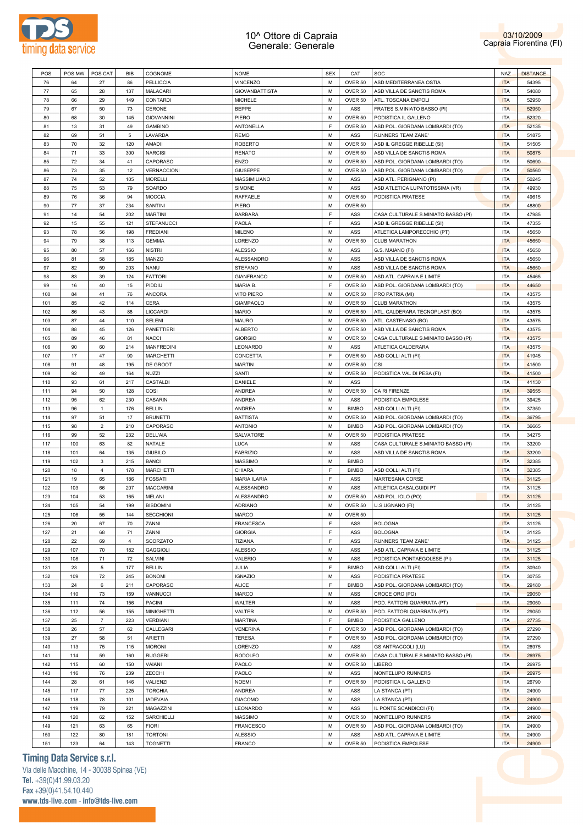



| POS | POS MW | POS CAT        | <b>BIB</b>     | COGNOME            | <b>NOME</b>           | <b>SEX</b> | CAT          | <b>SOC</b>                          | <b>NAZ</b> | <b>DISTANCE</b> |
|-----|--------|----------------|----------------|--------------------|-----------------------|------------|--------------|-------------------------------------|------------|-----------------|
| 76  | 64     | 27             | 86             | <b>PELLICCIA</b>   | <b>VINCENZO</b>       | M          | OVER 50      | ASD MEDITERRANEA OSTIA              | <b>ITA</b> | 54395           |
| 77  | 65     | 28             | 137            | <b>MALACARI</b>    | <b>GIOVANBATTISTA</b> | M          | OVER 50      | ASD VILLA DE SANCTIS ROMA           | <b>ITA</b> | 54080           |
| 78  | 66     | 29             | 149            | CONTARDI           | <b>MICHELE</b>        | M          | OVER 50      | ATL. TOSCANA EMPOLI                 | <b>ITA</b> | 52950           |
| 79  | 67     | 50             | 73             | CERONE             | <b>BEPPE</b>          | M          | ASS          | FRATES S.MINIATO BASSO (PI)         | <b>ITA</b> | 52950           |
|     |        |                |                |                    |                       | M          | OVER 50      | PODISTICA IL GALLENO                |            |                 |
| 80  | 68     | 30             | 145            | <b>GIOVANNINI</b>  | PIERO                 |            |              |                                     | <b>ITA</b> | 52320           |
| 81  | 13     | 31             | 49             | <b>GAMBINO</b>     | <b>ANTONELLA</b>      | F          | OVER 50      | ASD POL. GIORDANA LOMBARDI (TO)     | <b>ITA</b> | 52135           |
| 82  | 69     | 51             | $\overline{5}$ | LAVARDA            | <b>REMO</b>           | M          | ASS          | <b>RUNNERS TEAM ZANE'</b>           | <b>ITA</b> | 51875           |
| 83  | 70     | 32             | 120            | AMADII             | <b>ROBERTO</b>        | M          | OVER 50      | ASD IL GREGGE RIBELLE (SI)          | <b>ITA</b> | 51505           |
| 84  | 71     | 33             | 300            | <b>NARCISI</b>     | <b>RENATO</b>         | M          | OVER 50      | ASD VILLA DE SANCTIS ROMA           | <b>ITA</b> | 50875           |
| 85  | 72     | 34             | 41             | <b>CAPORASO</b>    | <b>ENZO</b>           | M          | OVER 50      | ASD POL. GIORDANA LOMBARDI (TO)     | <b>ITA</b> | 50690           |
| 86  | 73     | 35             | 12             | <b>VERNACCIONI</b> | <b>GIUSEPPE</b>       | M          | OVER 50      | ASD POL. GIORDANA LOMBARDI (TO)     | <b>ITA</b> | 50560           |
| 87  | 74     | 52             | 105            | <b>MORELLI</b>     | MASSIMILIANO          | M          | ASS          | ASD ATL. PERIGNANO (PI)             | <b>ITA</b> | 50245           |
|     | 75     | 53             | 79             | SOARDO             | SIMONE                | M          | ASS          | ASD ATLETICA LUPATOTISSIMA (VR)     | <b>ITA</b> | 49930           |
| 88  |        |                |                |                    |                       |            |              |                                     |            |                 |
| 89  | 76     | 36             | 94             | <b>MOCCIA</b>      | RAFFAELE              | M          | OVER 50      | PODISTICA PRATESE                   | <b>ITA</b> | 49615           |
| 90  | 77     | 37             | 234            | SANTINI            | PIERO                 | M          | OVER 50      |                                     | <b>ITA</b> | 48800           |
| 91  | 14     | 54             | 202            | <b>MARTINI</b>     | <b>BARBARA</b>        | F          | ASS          | CASA CULTURALE S.MINIATO BASSO (PI) | <b>ITA</b> | 47985           |
| 92  | 15     | 55             | 121            | <b>STEFANUCCI</b>  | <b>PAOLA</b>          | E          | ASS          | ASD IL GREGGE RIBELLE (SI)          | <b>ITA</b> | 47355           |
| 93  | 78     | 56             | 198            | <b>FREDIANI</b>    | <b>MILENO</b>         | M          | ASS          | ATLETICA LAMPORECCHIO (PT)          | <b>ITA</b> | 45650           |
| 94  | 79     | 38             | 113            | <b>GEMMA</b>       | LORENZO               | M          | OVER 50      | <b>CLUB MARATHON</b>                | <b>ITA</b> | 45650           |
| 95  | 80     | 57             | 166            |                    | <b>ALESSIO</b>        | M          | ASS          | G.S. MAIANO (FI)                    | <b>ITA</b> | 45650           |
|     |        |                |                | <b>NISTRI</b>      |                       |            |              |                                     |            |                 |
| 96  | 81     | 58             | 185            | MANZO              | <b>ALESSANDRO</b>     | M          | ASS          | ASD VILLA DE SANCTIS ROMA           | <b>ITA</b> | 45650           |
| 97  | 82     | 59             | 203            | <b>NANU</b>        | <b>STEFANO</b>        | M          | ASS          | ASD VILLA DE SANCTIS ROMA           | <b>ITA</b> | 45650           |
| 98  | 83     | 39             | 124            | <b>FATTORI</b>     | <b>GIANFRANCO</b>     | M          | OVER 50      | ASD ATL. CAPRAIA E LIMITE           | <b>ITA</b> | 45465           |
| 99  | 16     | 40             | 15             | PIDDIU             | MARIA B.              | F          | OVER 50      | ASD POL. GIORDANA LOMBARDI (TO)     | <b>ITA</b> | 44650           |
| 100 | 84     | 41             | 76             | <b>ANCORA</b>      | <b>VITO PIERO</b>     | M          | OVER 50      | PRO PATRIA (MI)                     | <b>ITA</b> | 43575           |
| 101 | 85     | 42             | 114            | <b>CERA</b>        | <b>GIAMPAOLO</b>      | M          | OVER 50      | <b>CLUB MARATHON</b>                | <b>ITA</b> | 43575           |
|     | 86     |                |                |                    |                       | M          |              |                                     |            |                 |
| 102 |        | 43             | 88             | <b>LICCARDI</b>    | <b>MARIO</b>          |            | OVER 50      | ATL. CALDERARA TECNOPLAST (BO)      | <b>ITA</b> | 43575           |
| 103 | 87     | 44             | 110            | <b>SELENI</b>      | <b>MAURO</b>          | M          | OVER 50      | ATL. CASTENASO (BO)                 | <b>ITA</b> | 43575           |
| 104 | 88     | 45             | 126            | <b>PANETTIERI</b>  | <b>ALBERTO</b>        | M          | OVER 50      | ASD VILLA DE SANCTIS ROMA           | <b>ITA</b> | 43575           |
| 105 | 89     | 46             | 81             | <b>NACCI</b>       | <b>GIORGIO</b>        | M          | OVER 50      | CASA CULTURALE S.MINIATO BASSO (PI) | <b>ITA</b> | 43575           |
| 106 | 90     | 60             | 214            | <b>MANFREDINI</b>  | LEONARDO              | M          | ASS          | ATLETICA CALDERARA                  | <b>ITA</b> | 43575           |
| 107 | 17     | 47             | 90             | <b>MARCHETTI</b>   | CONCETTA              | E          | OVER 50      | ASD COLLI ALTI (FI)                 | <b>ITA</b> | 41945           |
| 108 | 91     | 48             | 195            | DE GROOT           | <b>MARTIN</b>         | M          | OVER 50      | CSI                                 | <b>ITA</b> | 41500           |
|     |        |                |                |                    |                       | M          |              |                                     |            |                 |
| 109 | 92     | 49             | 164            | <b>NUZZI</b>       | <b>SANTI</b>          |            | OVER 50      | PODISTICA VAL DI PESA (FI)          | <b>ITA</b> | 41500           |
| 110 | 93     | 61             | 217            | CASTALDI           | <b>DANIELE</b>        | M          | ASS          |                                     | <b>ITA</b> | 41130           |
| 111 | 94     | 50             | 128            | COSI               | <b>ANDREA</b>         | M          | OVER 50      | CA RI FIRENZE                       | <b>ITA</b> | 39555           |
| 112 | 95     | 62             | 230            | <b>CASARIN</b>     | <b>ANDREA</b>         | M          | ASS          | PODISTICA EMPOLESE                  | <b>ITA</b> | 39425           |
| 113 | 96     | $\mathbf{1}$   | 176            | <b>BELLIN</b>      | ANDREA                | M          | <b>BIMBO</b> | ASD COLLI ALTI (FI)                 | <b>ITA</b> | 37350           |
| 114 | 97     | 51             | 17             | <b>BRUNETTI</b>    | <b>BATTISTA</b>       | M          | OVER 50      | ASD POL. GIORDANA LOMBARDI (TO)     | <b>ITA</b> | 36795           |
| 115 | 98     | $\overline{2}$ | 210            | <b>CAPORASO</b>    | <b>ANTONIO</b>        | M          | <b>BIMBO</b> | ASD POL. GIORDANA LOMBARDI (TO)     | <b>ITA</b> | 36665           |
| 116 | 99     | 52             | 232            | DELL'AIA           | SALVATORE             | M          | OVER 50      | PODISTICA PRATESE                   | <b>ITA</b> | 34275           |
|     |        |                |                |                    |                       |            |              |                                     |            |                 |
| 117 | 100    | 63             | 82             | <b>NATALE</b>      | <b>LUCA</b>           | M          | ASS          | CASA CULTURALE S.MINIATO BASSO (PI) | <b>ITA</b> | 33200           |
| 118 | 101    | 64             | 135            | <b>GIUBILO</b>     | <b>FABRIZIO</b>       | M          | ASS          | ASD VILLA DE SANCTIS ROMA           | <b>ITA</b> | 33200           |
| 119 | 102    | 3              | 215            | <b>BANCI</b>       | <b>MASSIMO</b>        | M          | <b>BIMBO</b> |                                     | <b>ITA</b> | 32385           |
| 120 | 18     | $\overline{4}$ | 178            | <b>MARCHETTI</b>   | CHIARA                | F          | <b>BIMBO</b> | ASD COLLI ALTI (FI)                 | <b>ITA</b> | 32385           |
| 121 | 19     | 65             | 186            | <b>FOSSATI</b>     | <b>MARIA ILARIA</b>   | F          | ASS          | MARTESANA CORSE                     | <b>ITA</b> | 31125           |
| 122 | 103    | 66             | 207            | <b>MACCARINI</b>   | <b>ALESSANDRO</b>     | M          | ASS          | ATLETICA CASALGUIDI PT              | <b>ITA</b> | 31125           |
| 123 | 104    | 53             | 165            | MELANI             | ALESSANDRO            | M          | OVER 50      | ASD POL. IOLO (PO)                  | <b>ITA</b> | 31125           |
| 124 | 105    | 54             | 199            | <b>RISDOMINI</b>   | <b>ADRIANO</b>        | M          |              | OVER 50   U.S.UGNANO (FI)           | ITA        | 31125           |
|     |        |                |                |                    |                       |            |              |                                     |            |                 |
| 125 | 106    | 55             | 144            | <b>SECCHIONI</b>   | <b>MARCO</b>          | М          | OVER 50      |                                     | <b>ITA</b> | 31125           |
| 126 | 20     | 67             | 70             | ZANNI              | <b>FRANCESCA</b>      | E          | ASS          | <b>BOLOGNA</b>                      | <b>ITA</b> | 31125           |
| 127 | 21     | 68             | 71             | ZANNI              | <b>GIORGIA</b>        | E          | ASS          | <b>BOLOGNA</b>                      | <b>ITA</b> | 31125           |
| 128 | 22     | 69             | $\overline{4}$ | SCORZATO           | TIZIANA               | E          | ASS          | RUNNERS TEAM ZANE'                  | <b>ITA</b> | 31125           |
| 129 | 107    | 70             | 182            | <b>GAGGIOLI</b>    | <b>ALESSIO</b>        | M          | ASS          | ASD ATL. CAPRAIA E LIMITE           | <b>ITA</b> | 31125           |
| 130 | 108    | 71             | 72             | SALVINI            | VALERIO               | M          | ASS          | PODISTICA PONTAEGOLESE (PI)         | <b>ITA</b> | 31125           |
| 131 | 23     | 5              | 177            | <b>BELLIN</b>      | JULIA                 | F          | <b>BIMBO</b> | ASD COLLI ALTI (FI)                 | <b>ITA</b> | 30940           |
|     |        |                |                |                    |                       |            |              |                                     |            |                 |
| 132 | 109    | 72             | 245            | <b>BONOMI</b>      | <b>IGNAZIO</b>        | M          | ASS          | PODISTICA PRATESE                   | <b>ITA</b> | 30755           |
| 133 | 24     | 6              | 211            | CAPORASO           | <b>ALICE</b>          | E          | <b>BIMBO</b> | ASD POL. GIORDANA LOMBARDI (TO)     | <b>ITA</b> | 29180           |
| 134 | 110    | 73             | 159            | VANNUCCI           | <b>MARCO</b>          | M          | ASS          | CROCE ORO (PO)                      | <b>ITA</b> | 29050           |
| 135 | 111    | 74             | 156            | <b>PACINI</b>      | <b>WALTER</b>         | M          | ASS          | POD. FATTORI QUARRATA (PT)          | <b>ITA</b> | 29050           |
| 136 | 112    | 56             | 155            | <b>MINIGHETTI</b>  | VALTER                | M          | OVER 50      | POD. FATTORI QUARRATA (PT)          | <b>ITA</b> | 29050           |
| 137 | 25     | $\overline{7}$ | 223            | <b>VERDIANI</b>    | <b>MARTINA</b>        | F          | <b>BIMBO</b> | PODISTICA GALLENO                   | <b>ITA</b> | 27735           |
| 138 | 26     | 57             | 62             | CALLEGARI          | <b>VENERINA</b>       | E          | OVER 50      | ASD POL. GIORDANA LOMBARDI (TO)     | <b>ITA</b> | 27290           |
|     | 27     |                |                |                    |                       | F          |              |                                     |            | 27290           |
| 139 |        | 58             | 51             | <b>ARIETTI</b>     | <b>TERESA</b>         |            | OVER 50      | ASD POL. GIORDANA LOMBARDI (TO)     | <b>ITA</b> |                 |
| 140 | 113    | 75             | 115            | <b>MORONI</b>      | LORENZO               | M          | ASS          | <b>GS ANTRACCOLI (LU)</b>           | <b>ITA</b> | 26975           |
| 141 | 114    | 59             | 160            | <b>RUGGERI</b>     | <b>RODOLFO</b>        | М          | OVER 50      | CASA CULTURALE S.MINIATO BASSO (PI) | <b>ITA</b> | 26975           |
| 142 | 115    | 60             | 150            | VAIANI             | PAOLO                 | M          | OVER 50      | LIBERO                              | <b>ITA</b> | 26975           |
|     | 116    | 76             | 239            | ZECCHI             | PAOLO                 | М          | ASS          | MONTELUPO RUNNERS                   | <b>ITA</b> | 26975           |
| 143 |        | 61             | 146            | VALIENZI           | <b>NOEMI</b>          | F          | OVER 50      | PODISTICA IL GALLENO                | <b>ITA</b> | 26790           |
| 144 |        |                | 225            | <b>TORCHIA</b>     | ANDREA                | M          | ASS          | LA STANCA (PT)                      | <b>ITA</b> | 24900           |
|     | 28     |                |                |                    |                       |            |              |                                     |            |                 |
| 145 | 117    | 77             |                |                    |                       |            |              |                                     |            |                 |
| 146 | 118    | 78             | 101            | <b>IADEVAIA</b>    | <b>GIACOMO</b>        | M          | ASS          | LA STANCA (PT)                      | <b>ITA</b> | 24900           |
| 147 | 119    | 79             | 221            | MAGAZZINI          | LEONARDO              | М          | ASS          | IL PONTE SCANDICCI (FI)             | <b>ITA</b> | 24900           |
| 148 | 120    | 62             | 152            | SARCHIELLI         | <b>MASSIMO</b>        | M          | OVER 50      | MONTELUPO RUNNERS                   | <b>ITA</b> | 24900           |
| 149 | 121    | 63             | 65             | <b>FIORI</b>       | FRANCESCO             | М          | OVER 50      | ASD POL. GIORDANA LOMBARDI (TO)     | <b>ITA</b> | 24900           |
| 150 | 122    | 80             | 181            | <b>TORTONI</b>     | <b>ALESSIO</b>        | М          | ASS          | ASD ATL. CAPRAIA E LIMITE           | <b>ITA</b> | 24900           |
| 151 | 123    | 64             | 143            | <b>TOGNETTI</b>    | <b>FRANCO</b>         | M          | OVER 50      | PODISTICA EMPOLESE                  | <b>ITA</b> | 24900           |

# **Timing Data Service s.r.l.**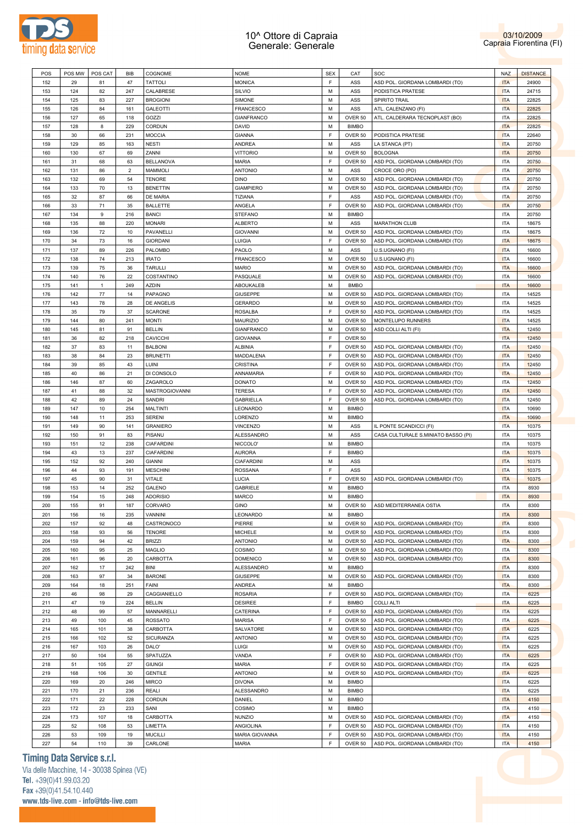



| POS | POS MW | POS CAT      | <b>BIB</b>     | COGNOME           | <b>NOME</b>       | <b>SEX</b> | CAT          | SOC                                 | <b>NAZ</b> | <b>DISTANCE</b> |
|-----|--------|--------------|----------------|-------------------|-------------------|------------|--------------|-------------------------------------|------------|-----------------|
|     |        |              |                |                   |                   |            |              |                                     |            |                 |
| 152 | 29     | 81           | 47             | <b>TATTOLI</b>    | <b>MONICA</b>     | F          | ASS          | ASD POL. GIORDANA LOMBARDI (TO)     | <b>ITA</b> | 24900           |
| 153 | 124    | 82           | 247            | CALABRESE         | SILVIO            | M          | ASS          | PODISTICA PRATESE                   | <b>ITA</b> | 24715           |
| 154 | 125    | 83           | 227            | <b>BROGIONI</b>   | SIMONE            | M          | ASS          | SPIRITO TRAIL                       | <b>ITA</b> | 22825           |
| 155 | 126    | 84           | 161            | <b>GALEOTTI</b>   | <b>FRANCESCO</b>  | M          | ASS          | ATL. CALENZANO (FI)                 | <b>ITA</b> | 22825           |
| 156 | 127    | 65           | 118            | GOZZI             | <b>GIANFRANCO</b> | M          | OVER 50      | ATL. CALDERARA TECNOPLAST (BO)      | <b>ITA</b> | 22825           |
|     |        |              |                |                   |                   |            |              |                                     |            |                 |
| 157 | 128    | 8            | 229            | CORDUN            | DAVID             | M          | <b>BIMBO</b> |                                     | <b>ITA</b> | 22825           |
| 158 | 30     | 66           | 231            | <b>MOCCIA</b>     | <b>GIANNA</b>     | F          | OVER 50      | PODISTICA PRATESE                   | <b>ITA</b> | 22640           |
| 159 | 129    | 85           | 163            | <b>NESTI</b>      | ANDREA            | M          | ASS          | LA STANCA (PT)                      | <b>ITA</b> | 20750           |
| 160 | 130    | 67           | 69             | ZANNI             | <b>VITTORIO</b>   | M          | OVER 50      | <b>BOLOGNA</b>                      | <b>ITA</b> | 20750           |
| 161 | 31     | 68           | 63             | <b>BELLANOVA</b>  | <b>MARIA</b>      | F          | OVER 50      | ASD POL. GIORDANA LOMBARDI (TO)     | <b>ITA</b> | 20750           |
|     |        |              |                |                   |                   |            |              |                                     |            |                 |
| 162 | 131    | 86           | $\overline{2}$ | <b>MAMMOLI</b>    | <b>ANTONIO</b>    | M          | ASS          | CROCE ORO (PO)                      | <b>ITA</b> | 20750           |
| 163 | 132    | 69           | 54             | <b>TENORE</b>     | <b>DINO</b>       | M          | OVER 50      | ASD POL. GIORDANA LOMBARDI (TO)     | <b>ITA</b> | 20750           |
| 164 | 133    | 70           | 13             | <b>BENETTIN</b>   | <b>GIAMPIERO</b>  | M          | OVER 50      | ASD POL. GIORDANA LOMBARDI (TO)     | <b>ITA</b> | 20750           |
| 165 | 32     | 87           | 66             | DE MARIA          | TIZIANA           | E          | ASS          | ASD POL. GIORDANA LOMBARDI (TO)     | <b>ITA</b> | 20750           |
|     |        |              |                |                   |                   |            |              |                                     |            |                 |
| 166 | 33     | 71           | 35             | <b>BALLETTE</b>   | ANGELA            | F          | OVER 50      | ASD POL. GIORDANA LOMBARDI (TO)     | <b>ITA</b> | 20750           |
| 167 | 134    | 9            | 216            | <b>BANCI</b>      | <b>STEFANO</b>    | M          | <b>BIMBO</b> |                                     | <b>ITA</b> | 20750           |
| 168 | 135    | 88           | 220            | <b>MONARI</b>     | <b>ALBERTO</b>    | M          | ASS          | <b>MARATHON CLUB</b>                | <b>ITA</b> | 18675           |
| 169 | 136    | 72           | 10             | PAVANELLI         | <b>GIOVANNI</b>   | M          | OVER 50      | ASD POL. GIORDANA LOMBARDI (TO)     | <b>ITA</b> | 18675           |
|     |        |              |                |                   |                   |            |              |                                     |            |                 |
| 170 | 34     | 73           | 16             | <b>GIORDANI</b>   | LUIGIA            | E          | OVER 50      | ASD POL. GIORDANA LOMBARDI (TO)     | <b>ITA</b> | 18675           |
| 171 | 137    | 89           | 226            | PALOMBO           | PAOLO             | M          | ASS          | U.S.UGNANO (FI)                     | <b>ITA</b> | 16600           |
| 172 | 138    | 74           | 213            | <b>IRATO</b>      | <b>FRANCESCO</b>  | M          | OVER 50      | U.S.UGNANO (FI)                     | <b>ITA</b> | 16600           |
|     |        |              |                |                   |                   |            |              |                                     |            |                 |
| 173 | 139    | 75           | 36             | <b>TARULLI</b>    | <b>MARIO</b>      | M          | OVER 50      | ASD POL. GIORDANA LOMBARDI (TO)     | <b>ITA</b> | 16600           |
| 174 | 140    | 76           | 22             | COSTANTINO        | PASQUALE          | M          | OVER 50      | ASD POL. GIORDANA LOMBARDI (TO)     | <b>ITA</b> | 16600           |
| 175 | 141    | $\mathbf{1}$ | 249            | <b>AZDIN</b>      | ABOUKALEB         | M          | <b>BMBO</b>  |                                     | <b>ITA</b> | 16600           |
|     |        |              |                |                   |                   |            |              |                                     |            |                 |
| 176 | 142    | 77           | 14             | PAPAGNO           | GIUSEPPE          | M          | OVER 50      | ASD POL. GIORDANA LOMBARDI (TO)     | <b>ITA</b> | 14525           |
| 177 | 143    | 78           | 28             | DE ANGELIS        | <b>GERARDO</b>    | M          | OVER 50      | ASD POL. GIORDANA LOMBARDI (TO)     | <b>ITA</b> | 14525           |
| 178 | 35     | 79           | 37             | <b>SCARONE</b>    | <b>ROSALBA</b>    | F          | OVER 50      | ASD POL. GIORDANA LOMBARDI (TO)     | <b>ITA</b> | 14525           |
| 179 | 144    | 80           | 241            | <b>MONTI</b>      | MAURIZIO          | M          | OVER 50      | MONTELUPO RUNNERS                   | <b>ITA</b> | 14525           |
|     |        |              |                |                   |                   |            |              |                                     |            |                 |
| 180 | 145    | 81           | 91             | <b>BELLIN</b>     | <b>GIANFRANCO</b> | M          | OVER 50      | ASD COLLI ALTI (FI)                 | <b>ITA</b> | 12450           |
| 181 | 36     | 82           | 218            | <b>CAVICCHI</b>   | <b>GIOVANNA</b>   | F          | OVER 50      |                                     | <b>ITA</b> | 12450           |
| 182 | 37     | 83           | 11             | <b>BALBONI</b>    | ALBINIA           | F          | OVER 50      | ASD POL. GIORDANA LOMBARDI (TO)     | <b>ITA</b> | 12450           |
|     |        |              |                |                   |                   |            |              |                                     |            |                 |
| 183 | 38     | 84           | 23             | <b>BRUNETTI</b>   | MADDALENA         | F          | OVER 50      | ASD POL. GIORDANA LOMBARDI (TO)     | <b>ITA</b> | 12450           |
| 184 | 39     | 85           | 43             | LUINI             | CRISTINA          | F          | OVER 50      | ASD POL. GIORDANA LOMBARDI (TO)     | <b>ITA</b> | 12450           |
| 185 | 40     | 86           | 21             | DI CONSOLO        | ANNAMARIA         | F          | OVER 50      | ASD POL. GIORDANA LOMBARDI (TO)     | <b>ITA</b> | 12450           |
| 186 | 146    | 87           | 60             | ZAGAROLO          | <b>DONATO</b>     | M          | OVER 50      | ASD POL. GIORDANA LOMBARDI (TO)     | <b>ITA</b> | 12450           |
|     |        |              |                |                   |                   |            |              |                                     |            |                 |
| 187 | 41     | 88           | 32             | MASTROGIOVANNI    | <b>TERESA</b>     | F          | OVER 50      | ASD POL. GIORDANA LOMBARDI (TO)     | <b>ITA</b> | 12450           |
| 188 | 42     | 89           | 24             | SANDRI            | <b>GABRIELLA</b>  | E          | OVER 50      | ASD POL. GIORDANA LOMBARDI (TO)     | <b>ITA</b> | 12450           |
| 189 | 147    | 10           | 254            | MALTINTI          | LEONARDO          | M          | <b>BIMBO</b> |                                     | <b>ITA</b> | 10690           |
|     |        |              |                |                   |                   |            |              |                                     |            |                 |
| 190 | 148    | 11           | 253            | SERENI            | LORENZO           | M          | <b>BIMBO</b> |                                     | <b>ITA</b> | 10690           |
| 191 | 149    | 90           | 141            | <b>GRANIERO</b>   | VINCENZO          | M          | ASS          | IL PONTE SCANDICCI (FI)             | <b>ITA</b> | 10375           |
| 192 | 150    | 91           | 83             | PISANU            | ALESSANDRO        | M          | ASS          | CASA CULTURALE S.MINIATO BASSO (PI) | <b>ITA</b> | 10375           |
| 193 | 151    | 12           | 238            | <b>CIAFARDINI</b> | NICCOLO'          | M          | <b>BIMBO</b> |                                     | <b>ITA</b> | 10375           |
|     |        |              |                |                   |                   |            |              |                                     |            |                 |
| 194 | 43     | 13           | 237            | <b>CIAFARDINI</b> | <b>AURORA</b>     | F          | <b>BIMBO</b> |                                     | <b>ITA</b> | 10375           |
| 195 | 152    | 92           | 240            | <b>GIANNI</b>     | CIAFARDINI        | M          | ASS          |                                     | <b>ITA</b> | 10375           |
| 196 | 44     | 93           | 191            | <b>MESCHINI</b>   | <b>ROSSANA</b>    | F          | ASS          |                                     | <b>ITA</b> | 10375           |
|     |        |              |                |                   |                   |            |              |                                     |            |                 |
| 197 | 45     | 90           | 31             | <b>VITALE</b>     | LUCIA             | F          | OVER 50      | ASD POL. GIORDANA LOMBARDI (TO)     | <b>ITA</b> | 10375           |
| 198 | 153    | 14           | 252            | GALENO            | GABRIELE          | M          | <b>BIMBO</b> |                                     | <b>ITA</b> | 8930            |
| 199 | 154    | 15           | 248            | <b>ADORISIO</b>   | MARCO             | M          | <b>BIMBO</b> |                                     | <b>ITA</b> | 8930            |
| 200 | 155    | 91           | 187            | CORVARO           | GINO              | М          |              | OVER 50 ASD MEDITERRANEA OSTIA      | <b>ITA</b> | 8300            |
|     |        |              |                |                   |                   |            |              |                                     |            |                 |
| 201 | 156    | 16           | 235            | VANNINI           | LEONARDO          | M          | <b>BIMBO</b> |                                     | <b>ITA</b> | 8300            |
| 202 | 157    | 92           | 48             | CASTRONOCO        | PIERRE            | M          | OVER 50      | ASD POL. GIORDANA LOMBARDI (TO)     | <b>ITA</b> | 8300            |
| 203 | 158    | 93           | 56             | <b>TENORE</b>     | MICHELE           | M          | OVER 50      | ASD POL. GIORDANA LOMBARDI (TO)     | <b>ITA</b> | 8300            |
| 204 | 159    | 94           | 42             | <b>BRIZZI</b>     | <b>ANTONIO</b>    | M          | OVER 50      | ASD POL. GIORDANA LOMBARDI (TO)     | <b>ITA</b> | 8300            |
|     |        |              |                |                   |                   |            |              |                                     |            |                 |
| 205 | 160    | 95           | 25             | <b>MAGLIO</b>     | COSIMO            | M          | OVER 50      | ASD POL. GIORDANA LOMBARDI (TO)     | <b>ITA</b> | 8300            |
| 206 | 161    | 96           | 20             | CARBOTTA          | <b>DOMENICO</b>   | M          | OVER 50      | ASD POL. GIORDANA LOMBARDI (TO)     | <b>ITA</b> | 8300            |
| 207 | 162    | 17           | 242            | <b>BINI</b>       | ALESSANDRO        | M          | <b>BIMBO</b> |                                     | <b>ITA</b> | 8300            |
|     |        |              |                |                   |                   |            |              |                                     |            |                 |
| 208 | 163    | 97           | 34             | <b>BARONE</b>     | <b>GIUSEPPE</b>   | M          | OVER 50      | ASD POL. GIORDANA LOMBARDI (TO)     | <b>ITA</b> | 8300            |
| 209 | 164    | 18           | 251            | <b>FAINI</b>      | ANDREA            | M          | <b>BIMBO</b> |                                     | <b>ITA</b> | 8300            |
| 210 | 46     | 98           | 29             | CAGGIANIELLO      | <b>ROSARIA</b>    | F          | OVER 50      | ASD POL. GIORDANA LOMBARDI (TO)     | <b>ITA</b> | 6225            |
| 211 | 47     | 19           | 224            | <b>BELLIN</b>     | <b>DESIREE</b>    | F          | <b>BIMBO</b> | <b>COLLI ALTI</b>                   | <b>ITA</b> | 6225            |
|     |        |              |                |                   |                   |            |              |                                     |            |                 |
| 212 | 48     | 99           | 57             | MANNARELLI        | CATERINA          | F          | OVER 50      | ASD POL. GIORDANA LOMBARDI (TO)     | <b>ITA</b> | 6225            |
| 213 | 49     | 100          | 45             | <b>ROSSATO</b>    | <b>MARISA</b>     | F          | OVER 50      | ASD POL. GIORDANA LOMBARDI (TO)     | <b>ITA</b> | 6225            |
| 214 | 165    | 101          | 38             | CARBOTTA          | SALVATORE         | M          | OVER 50      | ASD POL. GIORDANA LOMBARDI (TO)     | <b>ITA</b> | 6225            |
|     |        |              |                |                   |                   |            |              |                                     |            |                 |
| 215 | 166    | 102          | 52             | SICURANZA         | <b>ANTONIO</b>    | M          | OVER 50      | ASD POL. GIORDANA LOMBARDI (TO)     | <b>ITA</b> | 6225            |
| 216 | 167    | 103          | 26             | DALO'             | LUIGI             | M          | OVER 50      | ASD POL. GIORDANA LOMBARDI (TO)     | <b>ITA</b> | 6225            |
| 217 | 50     | 104          | 55             | SPATUZZA          | VANDA             | F          | OVER 50      | ASD POL. GIORDANA LOMBARDI (TO)     | <b>ITA</b> | 6225            |
|     |        |              |                |                   | <b>MARIA</b>      | F          | OVER 50      |                                     | <b>ITA</b> | 6225            |
|     |        | 105          | 27             | <b>GIUNGI</b>     |                   |            |              | ASD POL. GIORDANA LOMBARDI (TO)     |            |                 |
| 218 | 51     |              | 30             | <b>GENTILE</b>    | <b>ANTONIO</b>    | M          | OVER 50      | ASD POL. GIORDANA LOMBARDI (TO)     | <b>ITA</b> | 6225            |
| 219 | 168    | 106          |                | <b>MIRCO</b>      | <b>DIVONA</b>     | M          | <b>BIMBO</b> |                                     | <b>ITA</b> | 6225            |
| 220 | 169    | 20           | 246            |                   |                   |            |              |                                     |            |                 |
|     |        |              |                |                   |                   |            |              |                                     |            |                 |
| 221 | 170    | 21           | 236            | <b>REALI</b>      | ALESSANDRO        | M          | <b>BIMBO</b> |                                     | <b>ITA</b> | 6225            |
| 222 | 171    | 22           | 228            | CORDUN            | DANIEL            | M          | <b>BIMBO</b> |                                     | <b>ITA</b> | 4150            |
| 223 | 172    | 23           | 233            | SANI              | COSIMO            | M          | <b>BIMBO</b> |                                     | <b>ITA</b> | 4150            |
|     |        |              |                |                   |                   |            |              |                                     |            |                 |
| 224 | 173    | 107          | 18             | CARBOTTA          | <b>NUNZIO</b>     | M          | OVER 50      | ASD POL. GIORDANA LOMBARDI (TO)     | <b>ITA</b> | 4150            |
| 225 | 52     | 108          | 53             | LIMETTA           | ANGIOLINA         | F          | OVER 50      | ASD POL. GIORDANA LOMBARDI (TO)     | <b>ITA</b> | 4150            |
| 226 | 53     | 109          | 19             | <b>MUCILLI</b>    | MARIA GIOVANNA    | F          | OVER 50      | ASD POL. GIORDANA LOMBARDI (TO)     | <b>ITA</b> | 4150            |
| 227 | 54     | 110          | 39             | CARLONE           | <b>MARIA</b>      | F          | OVER 50      | ASD POL. GIORDANA LOMBARDI (TO)     | <b>ITA</b> | 4150            |

### **Timing Data Service s.r.l.**